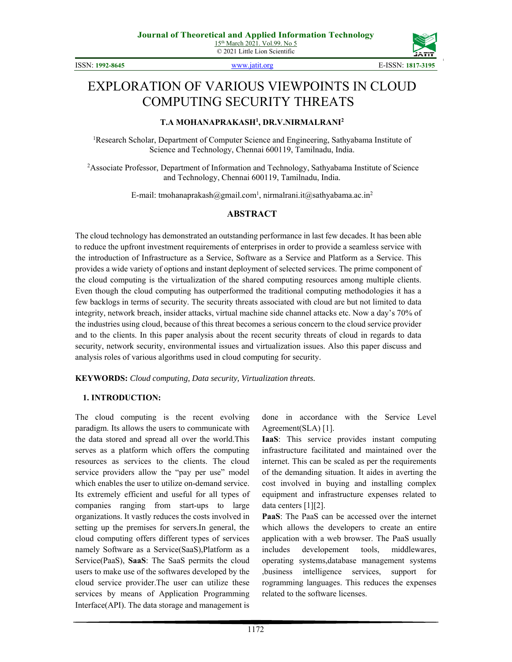

# EXPLORATION OF VARIOUS VIEWPOINTS IN CLOUD COMPUTING SECURITY THREATS

#### **T.A MOHANAPRAKASH1 , DR.V.NIRMALRANI2**

<sup>1</sup>Research Scholar, Department of Computer Science and Engineering, Sathyabama Institute of Science and Technology, Chennai 600119, Tamilnadu, India.

<sup>2</sup>Associate Professor, Department of Information and Technology, Sathyabama Institute of Science and Technology, Chennai 600119, Tamilnadu, India.

E-mail: tmohanaprakash@gmail.com<sup>1</sup>, nirmalrani.it@sathyabama.ac.in<sup>2</sup>

## **ABSTRACT**

The cloud technology has demonstrated an outstanding performance in last few decades. It has been able to reduce the upfront investment requirements of enterprises in order to provide a seamless service with the introduction of Infrastructure as a Service, Software as a Service and Platform as a Service. This provides a wide variety of options and instant deployment of selected services. The prime component of the cloud computing is the virtualization of the shared computing resources among multiple clients. Even though the cloud computing has outperformed the traditional computing methodologies it has a few backlogs in terms of security. The security threats associated with cloud are but not limited to data integrity, network breach, insider attacks, virtual machine side channel attacks etc. Now a day's 70% of the industries using cloud, because of this threat becomes a serious concern to the cloud service provider and to the clients. In this paper analysis about the recent security threats of cloud in regards to data security, network security, environmental issues and virtualization issues. Also this paper discuss and analysis roles of various algorithms used in cloud computing for security.

**KEYWORDS:** *Cloud computing, Data security, Virtualization threats.*

#### **1. INTRODUCTION:**

The cloud computing is the recent evolving paradigm. Its allows the users to communicate with the data stored and spread all over the world.This serves as a platform which offers the computing resources as services to the clients. The cloud service providers allow the "pay per use" model which enables the user to utilize on-demand service. Its extremely efficient and useful for all types of companies ranging from start-ups to large organizations. It vastly reduces the costs involved in setting up the premises for servers.In general, the cloud computing offers different types of services namely Software as a Service(SaaS),Platform as a Service(PaaS), **SaaS**: The SaaS permits the cloud users to make use of the softwares developed by the cloud service provider.The user can utilize these services by means of Application Programming Interface(API). The data storage and management is

done in accordance with the Service Level Agreement(SLA) [1].

**IaaS**: This service provides instant computing infrastructure facilitated and maintained over the internet. This can be scaled as per the requirements of the demanding situation. It aides in averting the cost involved in buying and installing complex equipment and infrastructure expenses related to data centers [1][2].

**PaaS**: The PaaS can be accessed over the internet which allows the developers to create an entire application with a web browser. The PaaS usually includes developement tools, middlewares, operating systems,database management systems ,business intelligence services, support for rogramming languages. This reduces the expenses related to the software licenses.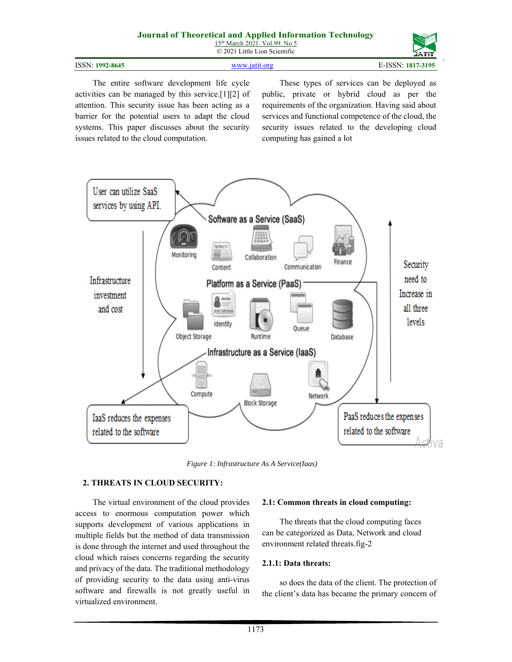#### **Journal of Theoretical and Applied Information Technology**  15<sup>th</sup> March 2021. Vol.99. No 5

© 2021 Little Lion Scientific

| ISSN: 1992-8645 | www.jatit.org | E-ISSN: 1817-3195 |
|-----------------|---------------|-------------------|

The entire software development life cycle activities can be managed by this service.[1][2] of attention. This security issue has been acting as a barrier for the potential users to adapt the cloud systems. This paper discusses about the security issues related to the cloud computation.

These types of services can be deployed as public, private or hybrid cloud as per the requirements of the organization. Having said about services and functional competence of the cloud, the security issues related to the developing cloud computing has gained a lot



*Figure 1: Infrastructure As A Service(Iaas)*

## **2. THREATS IN CLOUD SECURITY:**

The virtual environment of the cloud provides access to enormous computation power which supports development of various applications in multiple fields but the method of data transmission is done through the internet and used throughout the cloud which raises concerns regarding the security and privacy of the data. The traditional methodology of providing security to the data using anti-virus software and firewalls is not greatly useful in virtualized environment.

## **2.1: Common threats in cloud computing:**

The threats that the cloud computing faces can be categorized as Data, Network and cloud environment related threats.fig-2

#### **2.1.1: Data threats:**

so does the data of the client. The protection of the client's data has became the primary concern of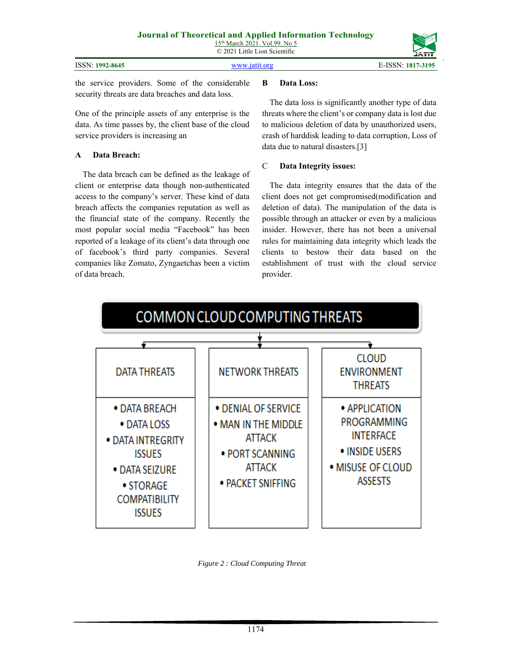|                 | --------           |
|-----------------|--------------------|
|                 |                    |
| ISSN: 1992-8645 | ISSN-<br>1817-3195 |

the service providers. Some of the considerable security threats are data breaches and data loss.

One of the principle assets of any enterprise is the data. As time passes by, the client base of the cloud service providers is increasing an

# **A Data Breach:**

The data breach can be defined as the leakage of client or enterprise data though non-authenticated access to the company's server. These kind of data breach affects the companies reputation as well as the financial state of the company. Recently the most popular social media "Facebook" has been reported of a leakage of its client's data through one of facebook's third party companies. Several companies like Zomato, Zyngaetchas been a victim of data breach.

# **B Data Loss:**

The data loss is significantly another type of data threats where the client's or company data is lost due to malicious deletion of data by unauthorized users, crash of harddisk leading to data corruption, Loss of data due to natural disasters.[3]

# C **Data Integrity issues:**

The data integrity ensures that the data of the client does not get compromised(modification and deletion of data). The manipulation of the data is possible through an attacker or even by a malicious insider. However, there has not been a universal rules for maintaining data integrity which leads the clients to bestow their data based on the establishment of trust with the cloud service provider.



*Figure 2 : Cloud Computing Threat*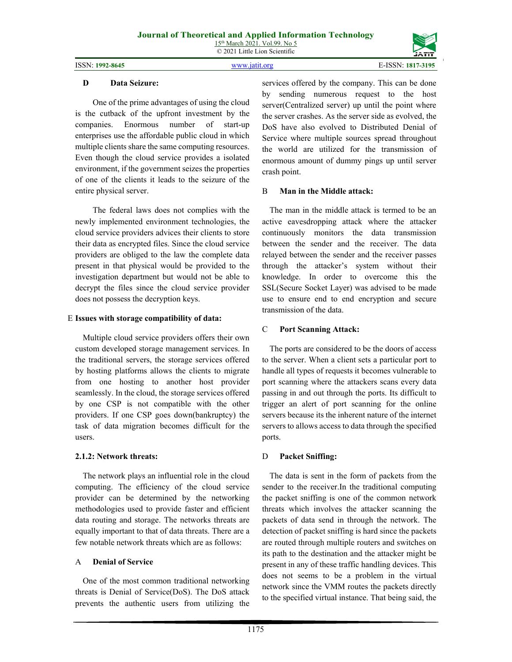ISSN: **1992-8645** www.jatit.org E-ISSN: **1817-3195**

# **D Data Seizure:**

One of the prime advantages of using the cloud is the cutback of the upfront investment by the companies. Enormous number of start-up enterprises use the affordable public cloud in which multiple clients share the same computing resources. Even though the cloud service provides a isolated environment, if the government seizes the properties of one of the clients it leads to the seizure of the entire physical server.

The federal laws does not complies with the newly implemented environment technologies, the cloud service providers advices their clients to store their data as encrypted files. Since the cloud service providers are obliged to the law the complete data present in that physical would be provided to the investigation department but would not be able to decrypt the files since the cloud service provider does not possess the decryption keys.

#### E **Issues with storage compatibility of data:**

Multiple cloud service providers offers their own custom developed storage management services. In the traditional servers, the storage services offered by hosting platforms allows the clients to migrate from one hosting to another host provider seamlessly. In the cloud, the storage services offered by one CSP is not compatible with the other providers. If one CSP goes down(bankruptcy) the task of data migration becomes difficult for the users.

## **2.1.2: Network threats:**

The network plays an influential role in the cloud computing. The efficiency of the cloud service provider can be determined by the networking methodologies used to provide faster and efficient data routing and storage. The networks threats are equally important to that of data threats. There are a few notable network threats which are as follows:

## A **Denial of Service**

One of the most common traditional networking threats is Denial of Service(DoS). The DoS attack prevents the authentic users from utilizing the

services offered by the company. This can be done by sending numerous request to the host server(Centralized server) up until the point where the server crashes. As the server side as evolved, the DoS have also evolved to Distributed Denial of Service where multiple sources spread throughout the world are utilized for the transmission of enormous amount of dummy pings up until server crash point.

#### B **Man in the Middle attack:**

The man in the middle attack is termed to be an active eavesdropping attack where the attacker continuously monitors the data transmission between the sender and the receiver. The data relayed between the sender and the receiver passes through the attacker's system without their knowledge. In order to overcome this the SSL(Secure Socket Layer) was advised to be made use to ensure end to end encryption and secure transmission of the data.

#### C **Port Scanning Attack:**

The ports are considered to be the doors of access to the server. When a client sets a particular port to handle all types of requests it becomes vulnerable to port scanning where the attackers scans every data passing in and out through the ports. Its difficult to trigger an alert of port scanning for the online servers because its the inherent nature of the internet servers to allows access to data through the specified ports.

## D **Packet Sniffing:**

The data is sent in the form of packets from the sender to the receiver.In the traditional computing the packet sniffing is one of the common network threats which involves the attacker scanning the packets of data send in through the network. The detection of packet sniffing is hard since the packets are routed through multiple routers and switches on its path to the destination and the attacker might be present in any of these traffic handling devices. This does not seems to be a problem in the virtual network since the VMM routes the packets directly to the specified virtual instance. That being said, the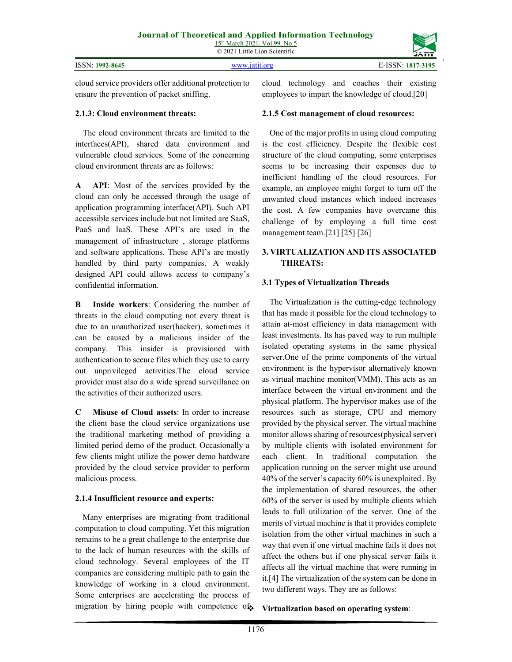cloud service providers offer additional protection to ensure the prevention of packet sniffing.

#### **2.1.3: Cloud environment threats:**

The cloud environment threats are limited to the interfaces(API), shared data environment and vulnerable cloud services. Some of the concerning cloud environment threats are as follows:

**A API**: Most of the services provided by the cloud can only be accessed through the usage of application programming interface(API). Such API accessible services include but not limited are SaaS, PaaS and IaaS. These API's are used in the management of infrastructure , storage platforms and software applications. These API's are mostly handled by third party companies. A weakly designed API could allows access to company's confidential information.

**B Inside workers**: Considering the number of threats in the cloud computing not every threat is due to an unauthorized user(hacker), sometimes it can be caused by a malicious insider of the company. This insider is provisioned with authentication to secure files which they use to carry out unprivileged activities.The cloud service provider must also do a wide spread surveillance on the activities of their authorized users.

**C Misuse of Cloud assets**: In order to increase the client base the cloud service organizations use the traditional marketing method of providing a limited period demo of the product. Occasionally a few clients might utilize the power demo hardware provided by the cloud service provider to perform malicious process.

# **2.1.4 Insufficient resource and experts:**

Many enterprises are migrating from traditional computation to cloud computing. Yet this migration remains to be a great challenge to the enterprise due to the lack of human resources with the skills of cloud technology. Several employees of the IT companies are considering multiple path to gain the knowledge of working in a cloud environment. Some enterprises are accelerating the process of migration by hiring people with competence of cloud technology and coaches their existing employees to impart the knowledge of cloud.[20]

# **2.1.5 Cost management of cloud resources:**

One of the major profits in using cloud computing is the cost efficiency. Despite the flexible cost structure of the cloud computing, some enterprises seems to be increasing their expenses due to inefficient handling of the cloud resources. For example, an employee might forget to turn off the unwanted cloud instances which indeed increases the cost. A few companies have overcame this challenge of by employing a full time cost management team.[21] [25] [26]

# **3. VIRTUALIZATION AND ITS ASSOCIATED THREATS:**

# **3.1 Types of Virtualization Threads**

The Virtualization is the cutting-edge technology that has made it possible for the cloud technology to attain at-most efficiency in data management with least investments. Its has paved way to run multiple isolated operating systems in the same physical server.One of the prime components of the virtual environment is the hypervisor alternatively known as virtual machine monitor(VMM). This acts as an interface between the virtual environment and the physical platform. The hypervisor makes use of the resources such as storage, CPU and memory provided by the physical server. The virtual machine monitor allows sharing of resources(physical server) by multiple clients with isolated environment for each client. In traditional computation the application running on the server might use around 40% of the server's capacity 60% is unexploited . By the implementation of shared resources, the other 60% of the server is used by multiple clients which leads to full utilization of the server. One of the merits of virtual machine is that it provides complete isolation from the other virtual machines in such a way that even if one virtual machine fails it does not affect the others but if one physical server fails it affects all the virtual machine that were running in it.[4] The virtualization of the system can be done in two different ways. They are as follows:

#### **Virtualization based on operating system**: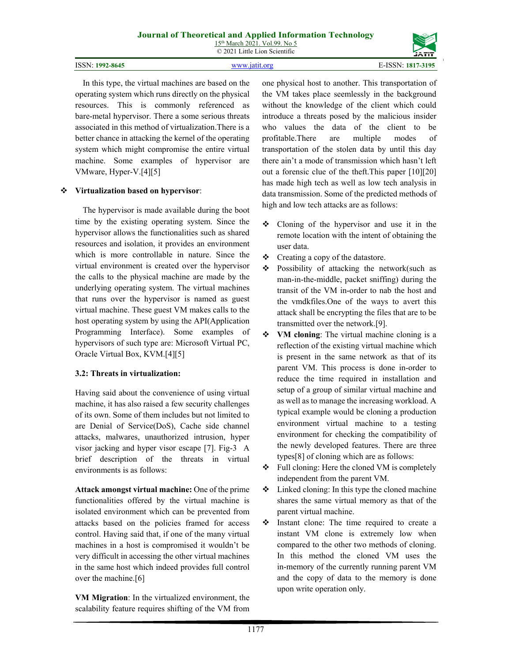#### ISSN: **1992-8645** www.jatit.org E-ISSN: **1817-3195**



In this type, the virtual machines are based on the operating system which runs directly on the physical resources. This is commonly referenced as bare-metal hypervisor. There a some serious threats associated in this method of virtualization.There is a better chance in attacking the kernel of the operating system which might compromise the entire virtual machine. Some examples of hypervisor are VMware, Hyper-V.[4][5]

#### **Virtualization based on hypervisor**:

The hypervisor is made available during the boot time by the existing operating system. Since the hypervisor allows the functionalities such as shared resources and isolation, it provides an environment which is more controllable in nature. Since the virtual environment is created over the hypervisor the calls to the physical machine are made by the underlying operating system. The virtual machines that runs over the hypervisor is named as guest virtual machine. These guest VM makes calls to the host operating system by using the API(Application Programming Interface). Some examples of hypervisors of such type are: Microsoft Virtual PC, Oracle Virtual Box, KVM.[4][5]

#### **3.2: Threats in virtualization:**

Having said about the convenience of using virtual machine, it has also raised a few security challenges of its own. Some of them includes but not limited to are Denial of Service(DoS), Cache side channel attacks, malwares, unauthorized intrusion, hyper visor jacking and hyper visor escape [7]. Fig-3 A brief description of the threats in virtual environments is as follows:

**Attack amongst virtual machine:** One of the prime functionalities offered by the virtual machine is isolated environment which can be prevented from attacks based on the policies framed for access control. Having said that, if one of the many virtual machines in a host is compromised it wouldn't be very difficult in accessing the other virtual machines in the same host which indeed provides full control over the machine.[6]

**VM Migration**: In the virtualized environment, the scalability feature requires shifting of the VM from

one physical host to another. This transportation of the VM takes place seemlessly in the background without the knowledge of the client which could introduce a threats posed by the malicious insider who values the data of the client to be profitable.There are multiple modes of transportation of the stolen data by until this day there ain't a mode of transmission which hasn't left out a forensic clue of the theft.This paper [10][20] has made high tech as well as low tech analysis in data transmission. Some of the predicted methods of high and low tech attacks are as follows:

- Cloning of the hypervisor and use it in the remote location with the intent of obtaining the user data.
- Creating a copy of the datastore.
- $\div$  Possibility of attacking the network(such as man-in-the-middle, packet sniffing) during the transit of the VM in-order to nab the host and the vmdkfiles.One of the ways to avert this attack shall be encrypting the files that are to be transmitted over the network.[9].
- **VM cloning**: The virtual machine cloning is a reflection of the existing virtual machine which is present in the same network as that of its parent VM. This process is done in-order to reduce the time required in installation and setup of a group of similar virtual machine and as well as to manage the increasing workload. A typical example would be cloning a production environment virtual machine to a testing environment for checking the compatibility of the newly developed features. There are three types[8] of cloning which are as follows:
- $\div$  Full cloning: Here the cloned VM is completely independent from the parent VM.
- $\cdot \cdot$  Linked cloning: In this type the cloned machine shares the same virtual memory as that of the parent virtual machine.
- $\cdot \cdot$  Instant clone: The time required to create a instant VM clone is extremely low when compared to the other two methods of cloning. In this method the cloned VM uses the in-memory of the currently running parent VM and the copy of data to the memory is done upon write operation only.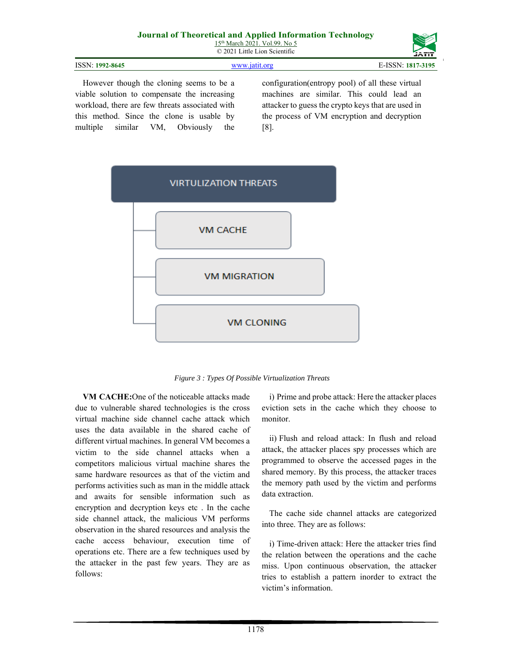| ISSN: 1992-8645 | www.jatit.org | E-ISSN: 1817-3195 |
|-----------------|---------------|-------------------|

However though the cloning seems to be a viable solution to compensate the increasing workload, there are few threats associated with this method. Since the clone is usable by multiple similar VM, Obviously the configuration(entropy pool) of all these virtual machines are similar. This could lead an attacker to guess the crypto keys that are used in the process of VM encryption and decryption [8].



*Figure 3 : Types Of Possible Virtualization Threats* 

**VM CACHE:**One of the noticeable attacks made due to vulnerable shared technologies is the cross virtual machine side channel cache attack which uses the data available in the shared cache of different virtual machines. In general VM becomes a victim to the side channel attacks when a competitors malicious virtual machine shares the same hardware resources as that of the victim and performs activities such as man in the middle attack and awaits for sensible information such as encryption and decryption keys etc . In the cache side channel attack, the malicious VM performs observation in the shared resources and analysis the cache access behaviour, execution time of operations etc. There are a few techniques used by the attacker in the past few years. They are as follows:

i) Prime and probe attack: Here the attacker places eviction sets in the cache which they choose to monitor.

ii) Flush and reload attack: In flush and reload attack, the attacker places spy processes which are programmed to observe the accessed pages in the shared memory. By this process, the attacker traces the memory path used by the victim and performs data extraction.

The cache side channel attacks are categorized into three. They are as follows:

i) Time-driven attack: Here the attacker tries find the relation between the operations and the cache miss. Upon continuous observation, the attacker tries to establish a pattern inorder to extract the victim's information.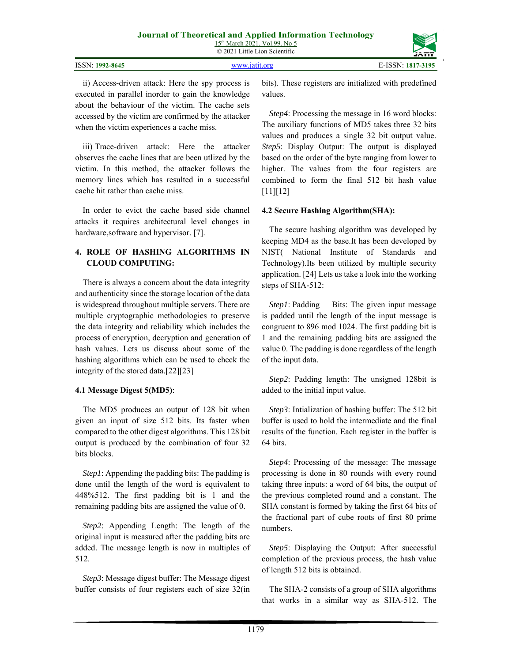© 2021 Little Lion Scientific

| ISSN: 1992-8645 | www 1911 oro | E-ISSN:<br>1817-3195 |
|-----------------|--------------|----------------------|

ii) Access-driven attack: Here the spy process is executed in parallel inorder to gain the knowledge about the behaviour of the victim. The cache sets accessed by the victim are confirmed by the attacker when the victim experiences a cache miss.

iii) Trace-driven attack: Here the attacker observes the cache lines that are been utlized by the victim. In this method, the attacker follows the memory lines which has resulted in a successful cache hit rather than cache miss.

In order to evict the cache based side channel attacks it requires architectural level changes in hardware,software and hypervisor. [7].

# **4. ROLE OF HASHING ALGORITHMS IN CLOUD COMPUTING:**

There is always a concern about the data integrity and authenticity since the storage location of the data is widespread throughout multiple servers. There are multiple cryptographic methodologies to preserve the data integrity and reliability which includes the process of encryption, decryption and generation of hash values. Lets us discuss about some of the hashing algorithms which can be used to check the integrity of the stored data.[22][23]

# **4.1 Message Digest 5(MD5)**:

The MD5 produces an output of 128 bit when given an input of size 512 bits. Its faster when compared to the other digest algorithms. This 128 bit output is produced by the combination of four 32 bits blocks.

*Step1*: Appending the padding bits: The padding is done until the length of the word is equivalent to 448%512. The first padding bit is 1 and the remaining padding bits are assigned the value of 0.

*Step2*: Appending Length: The length of the original input is measured after the padding bits are added. The message length is now in multiples of 512.

*Step3*: Message digest buffer: The Message digest buffer consists of four registers each of size 32(in bits). These registers are initialized with predefined values.

*Step4*: Processing the message in 16 word blocks: The auxiliary functions of MD5 takes three 32 bits values and produces a single 32 bit output value. *Step5*: Display Output: The output is displayed based on the order of the byte ranging from lower to higher. The values from the four registers are combined to form the final 512 bit hash value  $[11][12]$ 

# **4.2 Secure Hashing Algorithm(SHA):**

The secure hashing algorithm was developed by keeping MD4 as the base.It has been developed by NIST( National Institute of Standards and Technology).Its been utilized by multiple security application. [24] Lets us take a look into the working steps of SHA-512:

*Step1*: Padding Bits: The given input message is padded until the length of the input message is congruent to 896 mod 1024. The first padding bit is 1 and the remaining padding bits are assigned the value 0. The padding is done regardless of the length of the input data.

*Step2*: Padding length: The unsigned 128bit is added to the initial input value.

*Step3*: Intialization of hashing buffer: The 512 bit buffer is used to hold the intermediate and the final results of the function. Each register in the buffer is 64 bits.

*Step4*: Processing of the message: The message processing is done in 80 rounds with every round taking three inputs: a word of 64 bits, the output of the previous completed round and a constant. The SHA constant is formed by taking the first 64 bits of the fractional part of cube roots of first 80 prime numbers.

*Step5*: Displaying the Output: After successful completion of the previous process, the hash value of length 512 bits is obtained.

The SHA-2 consists of a group of SHA algorithms that works in a similar way as SHA-512. The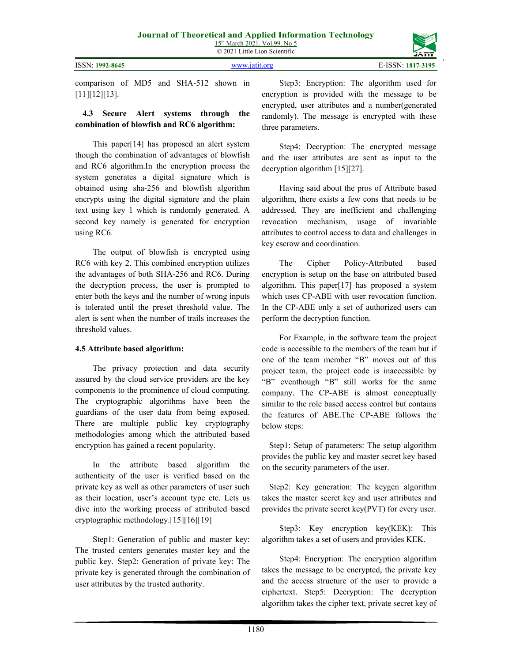ISSN: **1992-8645** www.jatit.org E-ISSN: **1817-3195**



comparison of MD5 and SHA-512 shown in [11][12][13].

#### **4.3 Secure Alert systems through the combination of blowfish and RC6 algorithm:**

This paper[14] has proposed an alert system though the combination of advantages of blowfish and RC6 algorithm.In the encryption process the system generates a digital signature which is obtained using sha-256 and blowfish algorithm encrypts using the digital signature and the plain text using key 1 which is randomly generated. A second key namely is generated for encryption using RC6.

The output of blowfish is encrypted using RC6 with key 2. This combined encryption utilizes the advantages of both SHA-256 and RC6. During the decryption process, the user is prompted to enter both the keys and the number of wrong inputs is tolerated until the preset threshold value. The alert is sent when the number of trails increases the threshold values.

## **4.5 Attribute based algorithm:**

The privacy protection and data security assured by the cloud service providers are the key components to the prominence of cloud computing. The cryptographic algorithms have been the guardians of the user data from being exposed. There are multiple public key cryptography methodologies among which the attributed based encryption has gained a recent popularity.

In the attribute based algorithm the authenticity of the user is verified based on the private key as well as other parameters of user such as their location, user's account type etc. Lets us dive into the working process of attributed based cryptographic methodology.[15][16][19]

Step1: Generation of public and master key: The trusted centers generates master key and the public key. Step2: Generation of private key: The private key is generated through the combination of user attributes by the trusted authority.

Step3: Encryption: The algorithm used for encryption is provided with the message to be encrypted, user attributes and a number(generated randomly). The message is encrypted with these three parameters.

Step4: Decryption: The encrypted message and the user attributes are sent as input to the decryption algorithm [15][27].

Having said about the pros of Attribute based algorithm, there exists a few cons that needs to be addressed. They are inefficient and challenging revocation mechanism, usage of invariable attributes to control access to data and challenges in key escrow and coordination.

The Cipher Policy-Attributed based encryption is setup on the base on attributed based algorithm. This paper[17] has proposed a system which uses CP-ABE with user revocation function. In the CP-ABE only a set of authorized users can perform the decryption function.

For Example, in the software team the project code is accessible to the members of the team but if one of the team member "B" moves out of this project team, the project code is inaccessible by "B" eventhough "B" still works for the same company. The CP-ABE is almost conceptually similar to the role based access control but contains the features of ABE.The CP-ABE follows the below steps:

Step1: Setup of parameters: The setup algorithm provides the public key and master secret key based on the security parameters of the user.

Step2: Key generation: The keygen algorithm takes the master secret key and user attributes and provides the private secret key(PVT) for every user.

Step3: Key encryption key(KEK): This algorithm takes a set of users and provides KEK.

Step4: Encryption: The encryption algorithm takes the message to be encrypted, the private key and the access structure of the user to provide a ciphertext. Step5: Decryption: The decryption algorithm takes the cipher text, private secret key of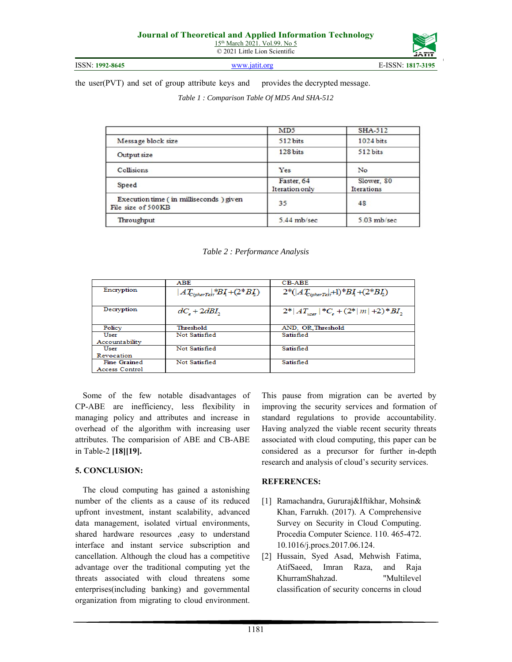**ISSN: 1992-8645 www.jatit.org E-ISSN: 1817-319** 

the user(PVT) and set of group attribute keys and provides the decrypted message.

*Table 1 : Comparison Table Of MD5 And SHA-512* 

|                                                              | MD <sub>5</sub>              | SHA-512                  |
|--------------------------------------------------------------|------------------------------|--------------------------|
| Message block size                                           | 512 bits                     | 1024 bits                |
| Output size                                                  | 128 bits                     | 512 bits                 |
| Collisions                                                   | Yes                          | No                       |
| Speed                                                        | Faster, 64<br>Iteration only | Slower, 80<br>Iterations |
| Execution time (in milliseconds) given<br>File size of 500KB | 35                           | 48                       |
| Throughput                                                   | 5.44 mb/sec                  | 5.03 mb/sec              |

*Table 2 : Performance Analysis* 

|                     | <b>ABE</b>                                   | <b>CB-ABE</b>                                           |
|---------------------|----------------------------------------------|---------------------------------------------------------|
| Encryption          | $AT_{\text{ciphertext}}$ # $BI_1 + (2*BI_2)$ | $2^*( AT_{cipherTest}+1)^*B_4 + (2^*B_2)$               |
| Decryption          | $dC_{\rm s}$ + 2dBI,                         | $2^* AT_{user} $ *C <sub>c</sub> + $(2^* m  + 2)^*BI$ , |
| Policy              | Threshold                                    | AND, OR, Threshold                                      |
| User                | Not Satisfied                                | Satisfied                                               |
| Accountability      |                                              |                                                         |
| User                | Not Satisfied                                | Satisfied                                               |
| Revocation          |                                              |                                                         |
| <b>Fine Grained</b> | Not Satisfied                                | Satisfied                                               |
| Access Control      |                                              |                                                         |

Some of the few notable disadvantages of CP-ABE are inefficiency, less flexibility in managing policy and attributes and increase in overhead of the algorithm with increasing user attributes. The comparision of ABE and CB-ABE in Table-2 **[18][19].** 

## **5. CONCLUSION:**

The cloud computing has gained a astonishing number of the clients as a cause of its reduced upfront investment, instant scalability, advanced data management, isolated virtual environments, shared hardware resources ,easy to understand interface and instant service subscription and cancellation. Although the cloud has a competitive advantage over the traditional computing yet the threats associated with cloud threatens some enterprises(including banking) and governmental organization from migrating to cloud environment. This pause from migration can be averted by improving the security services and formation of standard regulations to provide accountability. Having analyzed the viable recent security threats associated with cloud computing, this paper can be considered as a precursor for further in-depth research and analysis of cloud's security services.

## **REFERENCES:**

- [1] Ramachandra, Gururaj&Iftikhar, Mohsin& Khan, Farrukh. (2017). A Comprehensive Survey on Security in Cloud Computing. Procedia Computer Science. 110. 465-472. 10.1016/j.procs.2017.06.124.
- [2] Hussain, Syed Asad, Mehwish Fatima, AtifSaeed, Imran Raza, and Raja KhurramShahzad. "Multilevel classification of security concerns in cloud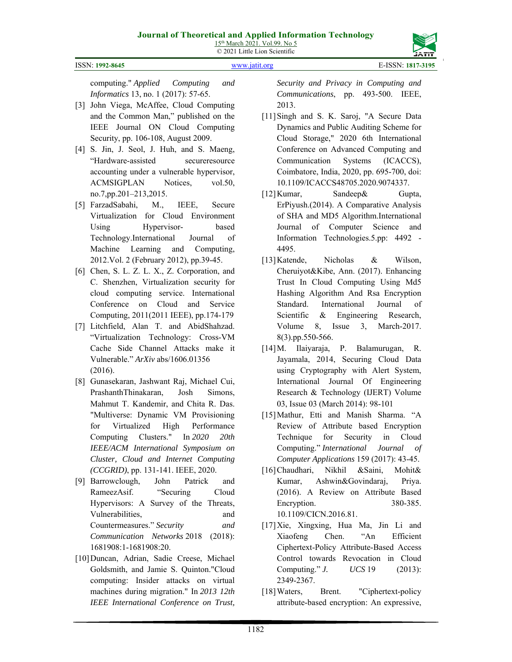

ISSN: **1992-8645** www.jatit.org E-ISSN: **1817-3195**

computing." *Applied Computing and Informatics* 13, no. 1 (2017): 57-65.

- [3] John Viega, McAffee, Cloud Computing and the Common Man," published on the IEEE Journal ON Cloud Computing Security, pp. 106-108, August 2009.
- [4] S. Jin, J. Seol, J. Huh, and S. Maeng, "Hardware-assisted secureresource accounting under a vulnerable hypervisor, ACMSIGPLAN Notices, vol.50, no.7,pp.201–213,2015.
- [5] FarzadSabahi, M., IEEE, Secure Virtualization for Cloud Environment Using Hypervisor- based Technology.International Journal of Machine Learning and Computing, 2012.Vol. 2 (February 2012), pp.39-45.
- [6] Chen, S. L. Z. L. X., Z. Corporation, and C. Shenzhen, Virtualization security for cloud computing service. International Conference on Cloud and Service Computing, 2011(2011 IEEE), pp.174-179
- [7] Litchfield, Alan T. and AbidShahzad. "Virtualization Technology: Cross-VM Cache Side Channel Attacks make it Vulnerable." *ArXiv* abs/1606.01356 (2016).
- [8] Gunasekaran, Jashwant Raj, Michael Cui, PrashanthThinakaran, Josh Simons, Mahmut T. Kandemir, and Chita R. Das. "Multiverse: Dynamic VM Provisioning for Virtualized High Performance Computing Clusters." In *2020 20th IEEE/ACM International Symposium on Cluster, Cloud and Internet Computing (CCGRID)*, pp. 131-141. IEEE, 2020.
- [9] Barrowclough, John Patrick and RameezAsif. "Securing Cloud Hypervisors: A Survey of the Threats, Vulnerabilities, and Countermeasures." *Security and Communication Networks* 2018 (2018): 1681908:1-1681908:20.
- [10]Duncan, Adrian, Sadie Creese, Michael Goldsmith, and Jamie S. Quinton."Cloud computing: Insider attacks on virtual machines during migration." In *2013 12th IEEE International Conference on Trust,*

*Security and Privacy in Computing and Communications*, pp. 493-500. IEEE, 2013.

- [11] Singh and S. K. Saroj, "A Secure Data Dynamics and Public Auditing Scheme for Cloud Storage," 2020 6th International Conference on Advanced Computing and Communication Systems (ICACCS), Coimbatore, India, 2020, pp. 695-700, doi: 10.1109/ICACCS48705.2020.9074337.
- [12]Kumar, Sandeep& Gupta, ErPiyush.(2014). A Comparative Analysis of SHA and MD5 Algorithm.International Journal of Computer Science and Information Technologies.5.pp: 4492 - 4495.
- [13]Katende, Nicholas & Wilson, Cheruiyot&Kibe, Ann. (2017). Enhancing Trust In Cloud Computing Using Md5 Hashing Algorithm And Rsa Encryption Standard. International Journal of Scientific & Engineering Research, Volume 8, Issue 3, March-2017. 8(3).pp.550-566.
- [14]M. Ilaiyaraja, P. Balamurugan, R. Jayamala, 2014, Securing Cloud Data using Cryptography with Alert System, International Journal Of Engineering Research & Technology (IJERT) Volume 03, Issue 03 (March 2014): 98-101
- [15]Mathur, Etti and Manish Sharma. "A Review of Attribute based Encryption Technique for Security in Cloud Computing." *International Journal of Computer Applications* 159 (2017): 43-45.
- [16]Chaudhari, Nikhil &Saini, Mohit& Kumar, Ashwin&Govindaraj, Priya. (2016). A Review on Attribute Based Encryption. 380-385. 10.1109/CICN.2016.81.
- [17]Xie, Xingxing, Hua Ma, Jin Li and Xiaofeng Chen. "An Efficient Ciphertext-Policy Attribute-Based Access Control towards Revocation in Cloud Computing." *J. UCS* 19 (2013): 2349-2367.
- [18] Waters, Brent. "Ciphertext-policy attribute-based encryption: An expressive,